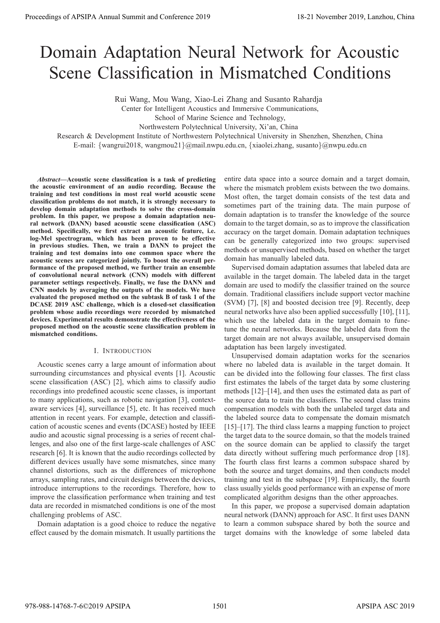# Domain Adaptation Neural Network for Acoustic Scene Classification in Mismatched Conditions

Rui Wang, Mou Wang, Xiao-Lei Zhang and Susanto Rahardja

Center for Intelligent Acoustics and Immersive Communications,

School of Marine Science and Technology,

Northwestern Polytechnical University, Xi'an, China

Research & Development Institute of Northwestern Polytechnical University in Shenzhen, Shenzhen, China

E-mail:  $\{wangrui2018, wangmou21\}$ @mail.nwpu.edu.cn,  $\{xiaolei.zhang, susanto\}$ @nwpu.edu.cn

*Abstract***—Acoustic scene classification is a task of predicting the acoustic environment of an audio recording. Because the training and test conditions in most real world acoustic scene classification problems do not match, it is strongly necessary to develop domain adaptation methods to solve the cross-domain problem. In this paper, we propose a domain adaptation neural network (DANN) based acoustic scene classification (ASC) method. Specifically, we first extract an acoustic feature, i.e. log-Mel spectrogram, which has been proven to be effective in previous studies. Then, we train a DANN to project the training and test domains into one common space where the acoustic scenes are categorized jointly. To boost the overall performance of the proposed method, we further train an ensemble of convolutional neural network (CNN) models with different parameter settings respectively. Finally, we fuse the DANN and CNN models by averaging the outputs of the models. We have evaluated the proposed method on the subtask B of task 1 of the DCASE 2019 ASC challenge, which is a closed-set classification problem whose audio recordings were recorded by mismatched devices. Experimental results demonstrate the effectiveness of the proposed method on the acoustic scene classification problem in mismatched conditions. Proceedings of APSIPA Annual Summit at Co-Cone 2019**<br> **Domain Adaptation Neural Network for Accounts of APSIPA and Conference 2019**<br> **Scene Classification in Missmatchede Conditions**<br>  $\frac{1}{2}$  November 2019 Annual Summi

# I. INTRODUCTION

Acoustic scenes carry a large amount of information about surrounding circumstances and physical events [1]. Acoustic scene classification (ASC) [2], which aims to classify audio recordings into predefined acoustic scene classes, is important to many applications, such as robotic navigation [3], contextaware services [4], surveillance [5], etc. It has received much attention in recent years. For example, detection and classification of acoustic scenes and events (DCASE) hosted by IEEE audio and acoustic signal processing is a series of recent challenges, and also one of the first large-scale challenges of ASC research [6]. It is known that the audio recordings collected by different devices usually have some mismatches, since many channel distortions, such as the differences of microphone arrays, sampling rates, and circuit designs between the devices, introduce interruptions to the recordings. Therefore, how to improve the classification performance when training and test data are recorded in mismatched conditions is one of the most challenging problems of ASC.

Domain adaptation is a good choice to reduce the negative effect caused by the domain mismatch. It usually partitions the entire data space into a source domain and a target domain, where the mismatch problem exists between the two domains. Most often, the target domain consists of the test data and sometimes part of the training data. The main purpose of domain adaptation is to transfer the knowledge of the source domain to the target domain, so as to improve the classification accuracy on the target domain. Domain adaptation techniques can be generally categorized into two groups: supervised methods or unsupervised methods, based on whether the target domain has manually labeled data.

Supervised domain adaptation assumes that labeled data are available in the target domain. The labeled data in the target domain are used to modify the classifier trained on the source domain. Traditional classifiers include support vector machine (SVM) [7], [8] and boosted decision tree [9]. Recently, deep neural networks have also been applied successfully [10], [11], which use the labeled data in the target domain to funetune the neural networks. Because the labeled data from the target domain are not always available, unsupervised domain adaptation has been largely investigated.

Unsupervised domain adaptation works for the scenarios where no labeled data is available in the target domain. It can be divided into the following four classes. The first class first estimates the labels of the target data by some clustering methods [12]–[14], and then uses the estimated data as part of the source data to train the classifiers. The second class trains compensation models with both the unlabeled target data and the labeled source data to compensate the domain mismatch [15]–[17]. The third class learns a mapping function to project the target data to the source domain, so that the models trained on the source domain can be applied to classify the target data directly without suffering much performance drop [18]. The fourth class first learns a common subspace shared by both the source and target domains, and then conducts model training and test in the subspace [19]. Empirically, the fourth class usually yields good performance with an expense of more complicated algorithm designs than the other approaches.

In this paper, we propose a supervised domain adaptation neural network (DANN) approach for ASC. It first uses DANN to learn a common subspace shared by both the source and target domains with the knowledge of some labeled data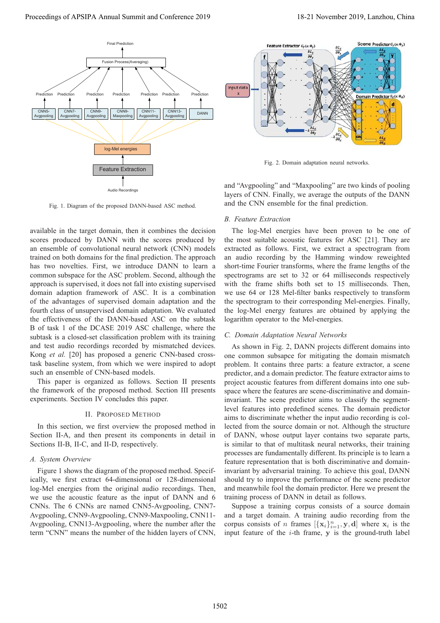



Fig. 2. Domain adaptation neural networks.

and "Avgpooling" and "Maxpooling" are two kinds of pooling layers of CNN. Finally, we average the outputs of the DANN and the CNN ensemble for the final prediction.

## *B. Feature Extraction*

The log-Mel energies have been proven to be one of the most suitable acoustic features for ASC [21]. They are extracted as follows. First, we extract a spectrogram from an audio recording by the Hamming window reweighted short-time Fourier transforms, where the frame lengths of the spectrograms are set to 32 or 64 milliseconds respectively with the frame shifts both set to 15 milliseconds. Then, we use 64 or 128 Mel-filter banks respectively to transform the spectrogram to their corresponding Mel-energies. Finally, the log-Mel energy features are obtained by applying the logarithm operator to the Mel-energies.

# *C. Domain Adaptation Neural Networks*

As shown in Fig. 2, DANN projects different domains into one common subsapce for mitigating the domain mismatch problem. It contains three parts: a feature extractor, a scene predictor, and a domain predictor. The feature extractor aims to project acoustic features from different domains into one subspace where the features are scene-discriminative and domaininvariant. The scene predictor aims to classify the segmentlevel features into predefined scenes. The domain predictor aims to discriminate whether the input audio recording is collected from the source domain or not. Although the structure of DANN, whose output layer contains two separate parts, is similar to that of multitask neural networks, their training processes are fundamentally different. Its principle is to learn a feature representation that is both discriminative and domaininvariant by adversarial training. To achieve this goal, DANN should try to improve the performance of the scene predictor and meanwhile fool the domain predictor. Here we present the training process of DANN in detail as follows.

Suppose a training corpus consists of a source domain and a target domain. A training audio recording from the corpus consists of *n* frames  $[\{x_i\}_{i=1}^n, y, d]$  where  $x_i$  is the input feature of the *i*-th frame, *y* is the ground-truth label input feature of the  $i$ -th frame,  $y$  is the ground-truth label

# Fig. 1. Diagram of the proposed DANN-based ASC method.

available in the target domain, then it combines the decision scores produced by DANN with the scores produced by an ensemble of convolutional neural network (CNN) models trained on both domains for the final prediction. The approach has two novelties. First, we introduce DANN to learn a common subspace for the ASC problem. Second, although the approach is supervised, it does not fall into existing supervised domain adaption framework of ASC. It is a combination of the advantages of supervised domain adaptation and the fourth class of unsupervised domain adaptation. We evaluated the effectiveness of the DANN-based ASC on the subtask B of task 1 of the DCASE 2019 ASC challenge, where the subtask is a closed-set classification problem with its training and test audio recordings recorded by mismatched devices. Kong *et al.* [20] has proposed a generic CNN-based crosstask baseline system, from which we were inspired to adopt such an ensemble of CNN-based models.

This paper is organized as follows. Section II presents the framework of the proposed method. Section III presents experiments. Section IV concludes this paper.

#### II. PROPOSED METHOD

In this section, we first overview the proposed method in Section II-A, and then present its components in detail in Sections II-B, II-C, and II-D, respectively.

## *A. System Overview*

Figure 1 shows the diagram of the proposed method. Specifically, we first extract 64-dimensional or 128-dimensional log-Mel energies from the original audio recordings. Then, we use the acoustic feature as the input of DANN and 6 CNNs. The 6 CNNs are named CNN5-Avgpooling, CNN7- Avgpooling, CNN9-Avgpooling, CNN9-Maxpooling, CNN11- Avgpooling, CNN13-Avgpooling, where the number after the term "CNN" means the number of the hidden layers of CNN,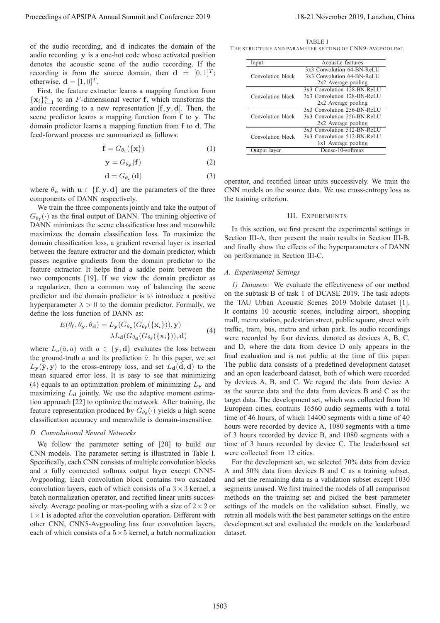of the audio recording, and **d** indicates the domain of the audio recording. **y** is a one-hot code whose activated position denotes the acoustic scene of the audio recording. If the recording is from the source domain, then  $\mathbf{d} = [0, 1]^T$ ; otherwise,  $\mathbf{d} = [1, 0]^T$ .

First, the feature extractor learns a mapping function from  $\{x_i\}_{i=1}^n$  to an *F*-dimensional vector **f**, which transforms the audio recording to a new representation  $[\mathbf{f}, \mathbf{y}, \mathbf{d}]$ . Then, the scene predictor learns a mapping function from **f** to **y**. The domain predictor learns a mapping function from **f** to **d**. The feed-forward process are summarized as follows:

$$
\mathbf{f} = G_{\theta_{\mathbf{f}}}(\{\mathbf{x}\})
$$
 (1)

$$
y = G_{\theta_{\mathbf{y}}}(f) \tag{2}
$$

$$
\mathbf{d} = G_{\theta_{\mathbf{d}}}(\mathbf{d})\tag{3}
$$

where  $\theta$ **u** with **u**  $\in$  {**f**, **y**, **d**} are the parameters of the three components of DANN respectively.

We train the three components jointly and take the output of  $G_{\theta_{\mathbf{f}}}(\cdot)$  as the final output of DANN. The training objective of DANN minimizes the scene classification loss and meanwhile maximizes the domain classification loss. To maximize the domain classification loss, a gradient reversal layer is inserted between the feature extractor and the domain predictor, which passes negative gradients from the domain predictor to the feature extractor. It helps find a saddle point between the two components [19]. If we view the domain predictor as a regularizer, then a common way of balancing the scene predictor and the domain predictor is to introduce a positive hyperparameter  $\lambda > 0$  to the domain predictor. Formally, we define the loss function of DANN as:

$$
E(\theta_{\mathbf{f}}, \theta_{\mathbf{y}}, \theta_{\mathbf{d}}) = L_{\mathbf{y}}(G_{\theta_{\mathbf{y}}}(G_{\theta_{\mathbf{f}}}(\{\mathbf{x}_i\})), \mathbf{y}) - \lambda L_{\mathbf{d}}(G_{\theta_{\mathbf{d}}}(G_{\theta_{\mathbf{f}}}(\{\mathbf{x}_i\})), \mathbf{d})
$$
(4)

where  $L_a(\hat{a}, a)$  with  $a \in \{y, d\}$  evaluates the loss between the ground-truth  $a$  and its prediction  $\hat{a}$ . In this paper, we set  $L_{\mathbf{y}}(\hat{\mathbf{y}}, \mathbf{y})$  to the cross-entropy loss, and set  $L_{\mathbf{d}}(\mathbf{d}, \mathbf{d})$  to the mean squared error loss. It is easy to see that minimizing (4) equals to an optimization problem of minimizing L**<sup>y</sup>** and maximizing  $L<sub>d</sub>$  jointly. We use the adaptive moment estimation approach [22] to optimize the network. After training, the feature representation produced by  $G_{\theta_{\bf f}}(\cdot)$  yields a high scene classification accuracy and meanwhile is domain-insensitive.

#### *D. Convolutional Neural Networks*

We follow the parameter setting of [20] to build our CNN models. The parameter setting is illustrated in Table I. Specifically, each CNN consists of multiple convolution blocks and a fully connected softmax output layer except CNN5- Avgpooling. Each convolution block contains two cascaded convolution layers, each of which consists of a  $3 \times 3$  kernel, a batch normalization operator, and rectified linear units successively. Average pooling or max-pooling with a size of  $2 \times 2$  or  $1 \times 1$  is adopted after the convolution operation. Different with other CNN, CNN5-Avgpooling has four convolution layers, each of which consists of a  $5 \times 5$  kernel, a batch normalization

TABLE I THE STRUCTURE AND PARAMETER SETTING OF CNN9-AVGPOOLING.

| Input             | Acoustic features           |  |
|-------------------|-----------------------------|--|
|                   | 3x3 Convolution 64-BN-ReLU  |  |
| Convolution block | 3x3 Convolution 64-BN-ReLU  |  |
|                   | 2x2 Average pooling         |  |
|                   | 3x3 Convolution 128-BN-ReLU |  |
| Convolution block | 3x3 Convolution 128-BN-ReLU |  |
|                   | 2x2 Average pooling         |  |
|                   | 3x3 Convolution 256-BN-ReLU |  |
| Convolution block | 3x3 Convolution 256-BN-ReLU |  |
|                   | $2x2$ Average pooling       |  |
|                   | 3x3 Convolution 512-BN-ReLU |  |
| Convolution block | 3x3 Convolution 512-BN-ReLU |  |
|                   | 1x1 Average pooling         |  |
| Output layer      | Dense-10-softmax            |  |

operator, and rectified linear units successively. We train the CNN models on the source data. We use cross-entropy loss as the training criterion.

#### III. EXPERIMENTS

In this section, we first present the experimental settings in Section III-A, then present the main results in Section III-B, and finally show the effects of the hyperparameters of DANN on performance in Section III-C.

## *A. Experimental Settings*

*1) Datasets:* We evaluate the effectiveness of our method on the subtask B of task 1 of DCASE 2019. The task adopts the TAU Urban Acoustic Scenes 2019 Mobile dataset [1]. It contains 10 acoustic scenes, including airport, shopping mall, metro station, pedestrian street, public square, street with traffic, tram, bus, metro and urban park. Its audio recordings were recorded by four devices, denoted as devices A, B, C, and D, where the data from device D only appears in the final evaluation and is not public at the time of this paper. The public data consists of a predefined development dataset and an open leaderboard dataset, both of which were recorded by devices A, B, and C. We regard the data from device A as the source data and the data from devices B and C as the target data. The development set, which was collected from 10 European cities, contains 16560 audio segments with a total time of 46 hours, of which 14400 segments with a time of 40 hours were recorded by device A, 1080 segments with a time of 3 hours recorded by device B, and 1080 segments with a time of 3 hours recorded by device C. The leaderboard set were collected from 12 cities. Proceedings of APSIPA Annual Summit at Co-Co-co-2019 16-21 November 2019, and the same of APSIPA Annual Summit and the same of APSIPA Annual Summit and Conference 2019, and the same of APSIPA Annual Summit and Conference

For the development set, we selected 70% data from device A and 50% data from devices B and C as a training subset, and set the remaining data as a validation subset except 1030 segments unused. We first trained the models of all comparison methods on the training set and picked the best parameter settings of the models on the validation subset. Finally, we retrain all models with the best parameter settings on the entire development set and evaluated the models on the leaderboard dataset.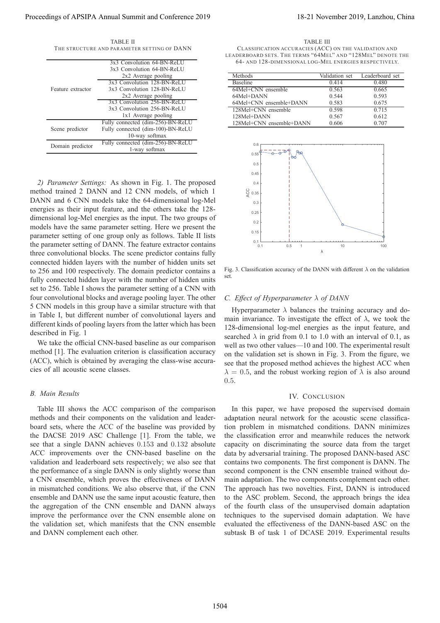|                                             | TABLE II |  |  |
|---------------------------------------------|----------|--|--|
| THE STRUCTURE AND PARAMETER SETTING OF DANN |          |  |  |

| Feature extractor | 3x3 Convolution 64-BN-ReLU        |
|-------------------|-----------------------------------|
|                   | 3x3 Convolution 64-BN-ReLU        |
|                   | 2x2 Average pooling               |
|                   | 3x3 Convolution 128-BN-ReLU       |
|                   | 3x3 Convolution 128-BN-ReLU       |
|                   | 2x2 Average pooling               |
|                   | 3x3 Convolution 256-BN-ReLU       |
|                   | 3x3 Convolution 256-BN-ReLU       |
|                   | 1x1 Average pooling               |
| Scene predictor   | Fully connected (dim-256)-BN-ReLU |
|                   | Fully connected (dim-100)-BN-ReLU |
|                   | 10-way softmax                    |
|                   | Fully connected (dim-256)-BN-ReLU |
| Domain predictor  | 1-way softmax                     |
|                   |                                   |

*2) Parameter Settings:* As shown in Fig. 1. The proposed method trained 2 DANN and 12 CNN models, of which 1 DANN and 6 CNN models take the 64-dimensional log-Mel energies as their input feature, and the others take the 128 dimensional log-Mel energies as the input. The two groups of models have the same parameter setting. Here we present the parameter setting of one group only as follows. Table II lists the parameter setting of DANN. The feature extractor contains three convolutional blocks. The scene predictor contains fully connected hidden layers with the number of hidden units set to 256 and 100 respectively. The domain predictor contains a fully connected hidden layer with the number of hidden units set to 256. Table I shows the parameter setting of a CNN with four convolutional blocks and average pooling layer. The other 5 CNN models in this group have a similar structure with that in Table I, but different number of convolutional layers and different kinds of pooling layers from the latter which has been described in Fig. 1 Proceeding of APSIPA Annual Summit at Co-Cone XPIP<br>  $\frac{1}{2}$  Conserver Conference 2019 18-21 November 2019, China 2019 18-21 November 2019, Lanzhou, China 2019, Lanzhou, China 2019, Lanzhou, China 2019, Lanzhou, China 20

We take the official CNN-based baseline as our comparison method [1]. The evaluation criterion is classification accuracy (ACC), which is obtained by averaging the class-wise accuracies of all acoustic scene classes.

## *B. Main Results*

Table III shows the ACC comparison of the comparison methods and their components on the validation and leaderboard sets, where the ACC of the baseline was provided by the DACSE 2019 ASC Challenge [1]. From the table, we see that a single DANN achieves 0.153 and 0.132 absolute ACC improvements over the CNN-based baseline on the validation and leaderboard sets respectively; we also see that the performance of a single DANN is only slightly worse than a CNN ensemble, which proves the effectiveness of DANN in mismatched conditions. We also observe that, if the CNN ensemble and DANN use the same input acoustic feature, then the aggregation of the CNN ensemble and DANN always improve the performance over the CNN ensemble alone on the validation set, which manifests that the CNN ensemble and DANN complement each other.

TABLE III CLASS IFICATION ACCURACIES (ACC) ON THE VALIDATION AND LEADERBOARD SETS. THE TERMS "64MEL" AND "128MEL" DENOTE THE 64- AND 128-DIMENSIONAL LOG-MEL ENERGIES RESPECTIVELY.

| Methods                  | Validation set | Leaderboard set |
|--------------------------|----------------|-----------------|
| <b>Baseline</b>          | 0.414          | 0.480           |
| 64Mel+CNN ensemble       | 0.563          | 0.665           |
| 64Mel+DANN               | 0.544          | 0.593           |
| 64Mel+CNN ensemble+DANN  | 0.583          | 0.675           |
| $128Mel+CNN$ ensemble    | 0.598          | 0.715           |
| 128Mel+DANN              | 0.567          | 0.612           |
| 128Mel+CNN ensemble+DANN | 0.606          | 0.707           |



Fig. 3. Classification accuracy of the DANN with different  $\lambda$  on the validation set.

## *C. Effect of Hyperparameter* λ *of DANN*

Hyperparameter  $\lambda$  balances the training accuracy and domain invariance. To investigate the effect of  $\lambda$ , we took the 128-dimensional log-mel energies as the input feature, and searched  $\lambda$  in grid from 0.1 to 1.0 with an interval of 0.1, as well as two other values—10 and 100. The experimental result on the validation set is shown in Fig. 3. From the figure, we see that the proposed method achieves the highest ACC when  $\lambda = 0.5$ , and the robust working region of  $\lambda$  is also around 0.5.

#### IV. CONCLUSION

In this paper, we have proposed the supervised domain adaptation neural network for the acoustic scene classification problem in mismatched conditions. DANN minimizes the classification error and meanwhile reduces the network capacity on discriminating the source data from the target data by adversarial training. The proposed DANN-based ASC contains two components. The first component is DANN. The second component is the CNN ensemble trained without domain adaptation. The two components complement each other. The approach has two novelties. First, DANN is introduced to the ASC problem. Second, the approach brings the idea of the fourth class of the unsupervised domain adaptation techniques to the supervised domain adaptation. We have evaluated the effectiveness of the DANN-based ASC on the subtask B of task 1 of DCASE 2019. Experimental results